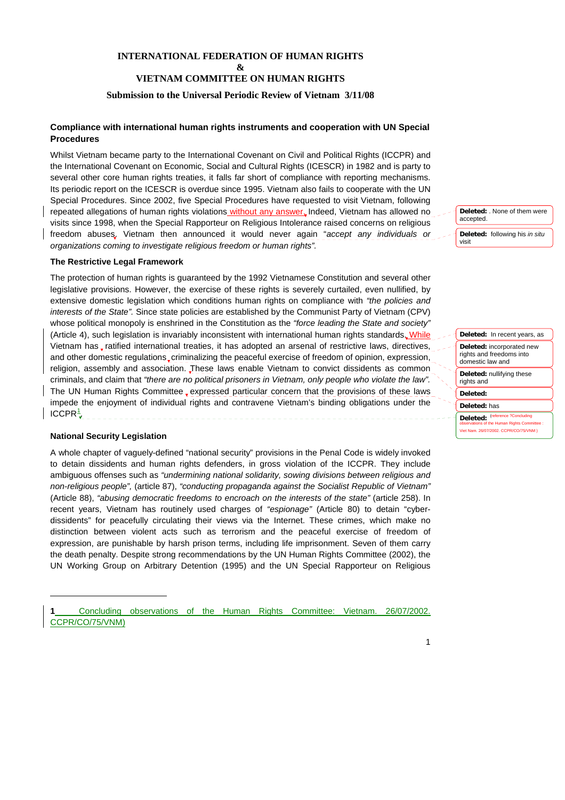# **INTERNATIONAL FEDERATION OF HUMAN RIGHTS &**

# **VIETNAM COMMITTEE ON HUMAN RIGHTS**

## **Submission to the Universal Periodic Review of Vietnam 3/11/08**

# **Compliance with international human rights instruments and cooperation with UN Special Procedures**

Whilst Vietnam became party to the International Covenant on Civil and Political Rights (ICCPR) and the International Covenant on Economic, Social and Cultural Rights (ICESCR) in 1982 and is party to several other core human rights treaties, it falls far short of compliance with reporting mechanisms. Its periodic report on the ICESCR is overdue since 1995. Vietnam also fails to cooperate with the UN Special Procedures. Since 2002, five Special Procedures have requested to visit Vietnam, following repeated allegations of human rights violations without any answer. Indeed, Vietnam has allowed no visits since 1998, when the Special Rapporteur on Religious Intolerance raised concerns on religious freedom abuses. Vietnam then announced it would never again "*accept any individuals or organizations coming to investigate religious freedom or human rights".* 

#### **The Restrictive Legal Framework**

The protection of human rights is guaranteed by the 1992 Vietnamese Constitution and several other legislative provisions. However, the exercise of these rights is severely curtailed, even nullified, by extensive domestic legislation which conditions human rights on compliance with *"the policies and interests of the State".* Since state policies are established by the Communist Party of Vietnam (CPV) whose political monopoly is enshrined in the Constitution as the *"force leading the State and society"*  (Article 4), such legislation is invariably inconsistent with international human rights standards. While Vietnam has ratified international treaties, it has adopted an arsenal of restrictive laws, directives, and other domestic regulations, criminalizing the peaceful exercise of freedom of opinion, expression, religion, assembly and association. These laws enable Vietnam to convict dissidents as common criminals, and claim that *"there are no political prisoners in Vietnam, only people who violate the law".*  The UN Human Rights Committee, expressed particular concern that the provisions of these laws impede the enjoyment of individual rights and contravene Vietnam's binding obligations under the  $ICCPR<sup>1</sup>$  $ICCPR<sup>1</sup>$  $ICCPR<sup>1</sup>$ 

#### **National Security Legislation**

l

A whole chapter of vaguely-defined "national security" provisions in the Penal Code is widely invoked to detain dissidents and human rights defenders, in gross violation of the ICCPR. They include ambiguous offenses such as *"undermining national solidarity, sowing divisions between religious and non-religious people",* (article 87), *"conducting propaganda against the Socialist Republic of Vietnam"*  (Article 88), *"abusing democratic freedoms to encroach on the interests of the state"* (article 258). In recent years, Vietnam has routinely used charges of *"espionage"* (Article 80) to detain "cyberdissidents" for peacefully circulating their views via the Internet. These crimes, which make no distinction between violent acts such as terrorism and the peaceful exercise of freedom of expression, are punishable by harsh prison terms, including life imprisonment. Seven of them carry the death penalty. Despite strong recommendations by the UN Human Rights Committee (2002), the UN Working Group on Arbitrary Detention (1995) and the UN Special Rapporteur on Religious



visit

**Deleted:** In recent years, as **Deleted:** incorporated new rights and freedoms into domestic law and **Deleted:** nullifying these rights and **Deleted:** 

**Deleted:** has

Deleted: <sup>(r</sup> **observations Human Rights Con** Viet Nam. 26/07/2002. CCPR/CO/75/VNM )

<span id="page-0-0"></span>**<sup>1</sup>** Concluding observations of the Human Rights Committee: Vietnam. 26/07/2002. CCPR/CO/75/VNM)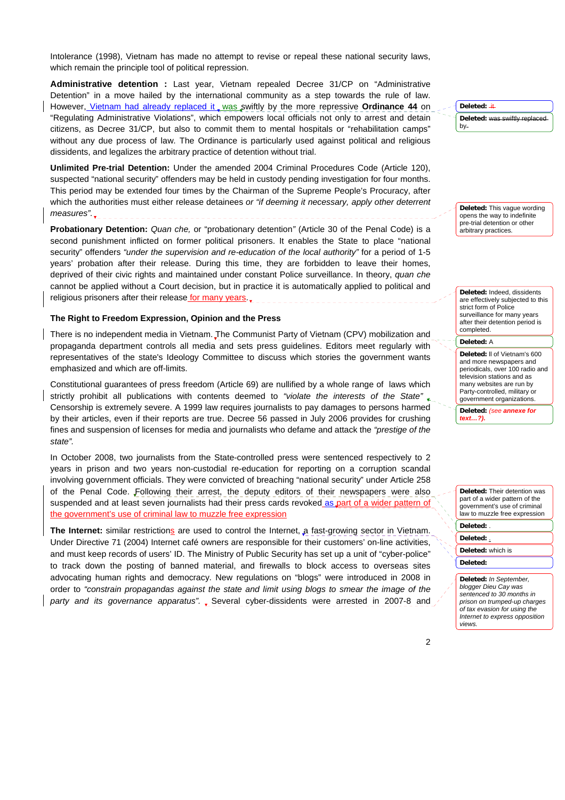Intolerance (1998), Vietnam has made no attempt to revise or repeal these national security laws, which remain the principle tool of political repression.

**Administrative detention :** Last year, Vietnam repealed Decree 31/CP on "Administrative Detention" in a move hailed by the international community as a step towards the rule of law. However, Vietnam had already replaced it was swiftly by the more repressive Ordinance 44 on "Regulating Administrative Violations", which empowers local officials not only to arrest and detain citizens, as Decree 31/CP, but also to commit them to mental hospitals or "rehabilitation camps" without any due process of law. The Ordinance is particularly used against political and religious dissidents, and legalizes the arbitrary practice of detention without trial.

**Unlimited Pre-trial Detention:** Under the amended 2004 Criminal Procedures Code (Article 120), suspected "national security" offenders may be held in custody pending investigation for four months. This period may be extended four times by the Chairman of the Supreme People's Procuracy, after which the authorities must either release detainees *or "if deeming it necessary, apply other deterrent measures".*

**Probationary Detention:** *Quan che,* or "probationary detention*"* (Article 30 of the Penal Code) is a second punishment inflicted on former political prisoners. It enables the State to place "national security" offenders *"under the supervision and re-education of the local authority"* for a period of 1-5 years' probation after their release. During this time, they are forbidden to leave their homes, deprived of their civic rights and maintained under constant Police surveillance. In theory, *quan che*  cannot be applied without a Court decision, but in practice it is automatically applied to political and religious prisoners after their release for many years.

#### **The Right to Freedom Expression, Opinion and the Press**

There is no independent media in Vietnam. The Communist Party of Vietnam (CPV) mobilization and propaganda department controls all media and sets press guidelines. Editors meet regularly with representatives of the state's Ideology Committee to discuss which stories the government wants emphasized and which are off-limits.

Constitutional guarantees of press freedom (Article 69) are nullified by a whole range of laws which strictly prohibit all publications with contents deemed to *"violate the interests of the State" .*  Censorship is extremely severe. A 1999 law requires journalists to pay damages to persons harmed by their articles, even if their reports are true. Decree 56 passed in July 2006 provides for crushing fines and suspension of licenses for media and journalists who defame and attack the *"prestige of the state".* 

In October 2008, two journalists from the State-controlled press were sentenced respectively to 2 years in prison and two years non-custodial re-education for reporting on a corruption scandal involving government officials. They were convicted of breaching "national security" under Article 258 of the Penal Code. Following their arrest, the deputy editors of their newspapers were also suspended and at least seven journalists had their press cards revoked as part of a wider pattern of the government's use of criminal law to muzzle free expression

The Internet: similar restrictions are used to control the Internet, a fast-growing sector in Vietnam. Under Directive 71 (2004) Internet café owners are responsible for their customers' on-line activities, and must keep records of users' ID. The Ministry of Public Security has set up a unit of "cyber-police" to track down the posting of banned material, and firewalls to block access to overseas sites advocating human rights and democracy. New regulations on "blogs" were introduced in 2008 in order to *"constrain propagandas against the state and limit using blogs to smear the image of the party and its governance apparatus".* Several cyber-dissidents were arrested in 2007-8 and **Deleted:** it **Deleted:** was swiftly replaced by

**Deleted:** This vague wording opens the way to indefinite pre-trial detention or other arbitrary practices*.*

**Deleted:** Indeed, dissidents are effectively subjected to this strict form of Police surveillance for many years after their detention period is completed.

**Deleted:** A

**Deleted:** ll of Vietnam's 600 and more newspapers and periodicals, over 100 radio and television stations and as many websites are run by Party-controlled, military or government organizations.

**Deleted:** *(see annexe for text…?).*

**Deleted:** Their detention was part of a wider pattern of the government's use of criminal law to muzzle free expression

# **Deleted:** .

# **Deleted:** .

**Deleted:** which is **Deleted:** 

**Deleted:** *In September, blogger Dieu Cay was sentenced to 30 months in prison on trumped-up charges of tax evasion for using the Internet to express opposition views.*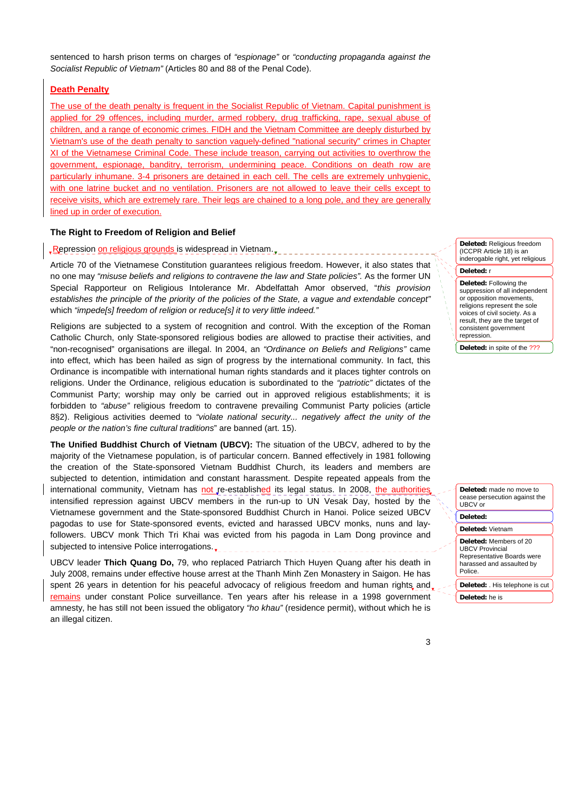sentenced to harsh prison terms on charges of *"espionage"* or *"conducting propaganda against the Socialist Republic of Vietnam"* (Articles 80 and 88 of the Penal Code).

# **Death Penalty**

The use of the death penalty is frequent in the Socialist Republic of Vietnam. Capital punishment is applied for 29 offences, including murder, armed robbery, drug trafficking, rape, sexual abuse of children, and a range of economic crimes. FIDH and the Vietnam Committee are deeply disturbed by Vietnam's use of the death penalty to sanction vaguely-defined "national security" crimes in Chapter XI of the Vietnamese Criminal Code. These include treason, carrying out activities to overthrow the government, espionage, banditry, terrorism, undermining peace. Conditions on death row are particularly inhumane. 3-4 prisoners are detained in each cell. The cells are extremely unhygienic, with one latrine bucket and no ventilation. Prisoners are not allowed to leave their cells except to receive visits, which are extremely rare. Their legs are chained to a long pole, and they are generally lined up in order of execution.

# **The Right to Freedom of Religion and Belief**

# Repression on religious grounds is widespread in Vietnam.

Article 70 of the Vietnamese Constitution guarantees religious freedom. However, it also states that no one may *"misuse beliefs and religions to contravene the law and State policies".* As the former UN Special Rapporteur on Religious Intolerance Mr. Abdelfattah Amor observed, "*this provision establishes the principle of the priority of the policies of the State, a vague and extendable concept"*  which *"impede[s] freedom of religion or reduce[s] it to very little indeed."*

Religions are subjected to a system of recognition and control. With the exception of the Roman Catholic Church, only State-sponsored religious bodies are allowed to practise their activities, and "non-recognised" organisations are illegal. In 2004, an *"Ordinance on Beliefs and Religions"* came into effect, which has been hailed as sign of progress by the international community. In fact, this Ordinance is incompatible with international human rights standards and it places tighter controls on religions. Under the Ordinance, religious education is subordinated to the *"patriotic"* dictates of the Communist Party; worship may only be carried out in approved religious establishments; it is forbidden to *"abuse"* religious freedom to contravene prevailing Communist Party policies (article 8§2). Religious activities deemed to *"violate national security... negatively affect the unity of the people or the nation's fine cultural traditions*" are banned (art. 15).

**The Unified Buddhist Church of Vietnam (UBCV):** The situation of the UBCV, adhered to by the majority of the Vietnamese population, is of particular concern. Banned effectively in 1981 following the creation of the State-sponsored Vietnam Buddhist Church, its leaders and members are subjected to detention, intimidation and constant harassment. Despite repeated appeals from the international community, Vietnam has not re-established its legal status. In 2008, the authorities intensified repression against UBCV members in the run-up to UN Vesak Day, hosted by the Vietnamese government and the State-sponsored Buddhist Church in Hanoi. Police seized UBCV pagodas to use for State-sponsored events, evicted and harassed UBCV monks, nuns and layfollowers. UBCV monk Thich Tri Khai was evicted from his pagoda in Lam Dong province and subjected to intensive Police interrogations.

UBCV leader **Thich Quang Do,** 79, who replaced Patriarch Thich Huyen Quang after his death in July 2008, remains under effective house arrest at the Thanh Minh Zen Monastery in Saigon. He has spent 26 years in detention for his peaceful advocacy of religious freedom and human rights and. remains under constant Police surveillance. Ten years after his release in a 1998 government amnesty, he has still not been issued the obligatory *"ho khau"* (residence permit), without which he is an illegal citizen.

**Deleted:** Religious freedom (ICCPR Article 18) is an inderogable right, yet religious

#### **Deleted:** r

**Deleted:** Following the suppression of all independent or opposition movements, religions represent the sole voices of civil society. As a result, they are the target of consistent government repression.

**Deleted:** in spite of the 222

**Deleted:** made no move to cease persecution against the UBCV or

**Deleted:** 

**Deleted:** Vietnam

**Deleted:** Members of 20 UBCV Provincial Representative Boards were harassed and assaulted by Police.

**Deleted:** . His telephone is cut **Deleted:** he is

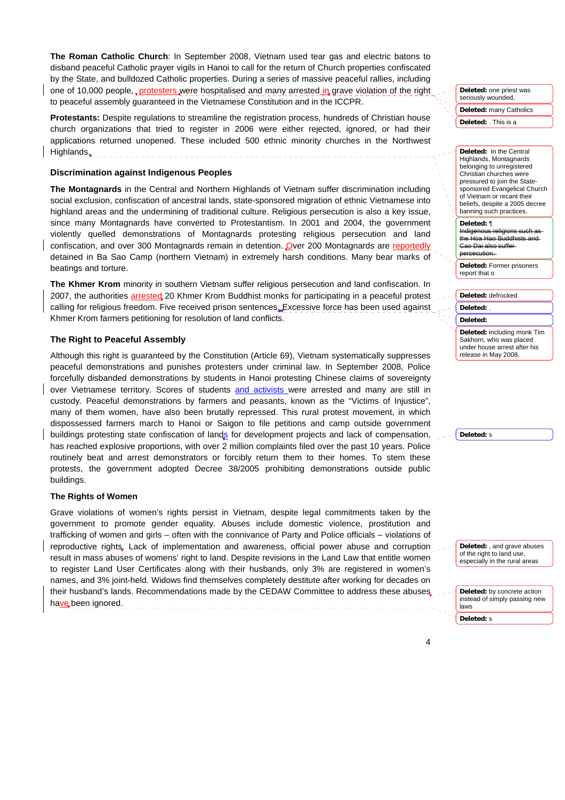**The Roman Catholic Church**: In September 2008, Vietnam used tear gas and electric batons to disband peaceful Catholic prayer vigils in Hanoi to call for the return of Church properties confiscated by the State, and bulldozed Catholic properties. During a series of massive peaceful rallies, including one of 10,000 people, protesters were hospitalised and many arrested in grave violation of the right to peaceful assembly guaranteed in the Vietnamese Constitution and in the ICCPR.

**Protestants:** Despite regulations to streamline the registration process, hundreds of Christian house church organizations that tried to register in 2006 were either rejected, ignored, or had their applications returned unopened. These included 500 ethnic minority churches in the Northwest Highlands.

#### **Discrimination against Indigenous Peoples**

**The Montagnards** in the Central and Northern Highlands of Vietnam suffer discrimination including social exclusion, confiscation of ancestral lands, state-sponsored migration of ethnic Vietnamese into highland areas and the undermining of traditional culture. Religious persecution is also a key issue, since many Montagnards have converted to Protestantism. In 2001 and 2004, the government violently quelled demonstrations of Montagnards protesting religious persecution and land confiscation, and over 300 Montagnards remain in detention. Over 200 Montagnards are reportedly detained in Ba Sao Camp (northern Vietnam) in extremely harsh conditions. Many bear marks of beatings and torture.

**The Khmer Krom** minority in southern Vietnam suffer religious persecution and land confiscation. In 2007, the authorities arrested 20 Khmer Krom Buddhist monks for participating in a peaceful protest calling for religious freedom. Five received prison sentences. Excessive force has been used against Khmer Krom farmers petitioning for resolution of land conflicts.

# **The Right to Peaceful Assembly**

Although this right is guaranteed by the Constitution (Article 69), Vietnam systematically suppresses peaceful demonstrations and punishes protesters under criminal law. In September 2008, Police forcefully disbanded demonstrations by students in Hanoi protesting Chinese claims of sovereignty over Vietnamese territory. Scores of students and activists were arrested and many are still in custody. Peaceful demonstrations by farmers and peasants, known as the "Victims of Injustice", many of them women, have also been brutally repressed. This rural protest movement, in which dispossessed farmers march to Hanoi or Saigon to file petitions and camp outside government buildings protesting state confiscation of lands for development projects and lack of compensation, has reached explosive proportions, with over 2 million complaints filed over the past 10 years. Police routinely beat and arrest demonstrators or forcibly return them to their homes. To stem these protests, the government adopted Decree 38/2005 prohibiting demonstrations outside public buildings.

## **The Rights of Women**

Grave violations of women's rights persist in Vietnam, despite legal commitments taken by the government to promote gender equality. Abuses include domestic violence, prostitution and trafficking of women and girls – often with the connivance of Party and Police officials – violations of reproductive rights. Lack of implementation and awareness, official power abuse and corruption result in mass abuses of womens' right to land. Despite revisions in the Land Law that entitle women to register Land User Certificates along with their husbands, only 3% are registered in women's names, and 3% joint-held. Widows find themselves completely destitute after working for decades on their husband's lands. Recommendations made by the CEDAW Committee to address these abuses have been ignored.

**Deleted:** one priest was seriously wounded.

**Deleted:** many Catholics

**Deleted:** . This is a

**Deleted:** In the Central Highlands, Montagnards belonging to unregistered Christian churches were pressured to join the Statesponsored Evangelical Church of Vietnam or recant their beliefs, despite a 2005 decree banning such practices.

**Deleted:** ¶ Indigenous

the Hoa Hao Buddhists and .<br><del>Dai als</del> persecution.

**Deleted:** Former prisoners report that o

**Deleted:** defrocked **Deleted:** ,

**Deleted:** 

**Deleted:** including monk Tim Sakhorn, who was placed under house arrest after his release in May 2008.

**Deleted:** s

**Deleted:** , and grave abuses of the right to land use. especially in the rural areas

**Deleted:** by concrete action instead of simply passing new laws **Deleted:** s

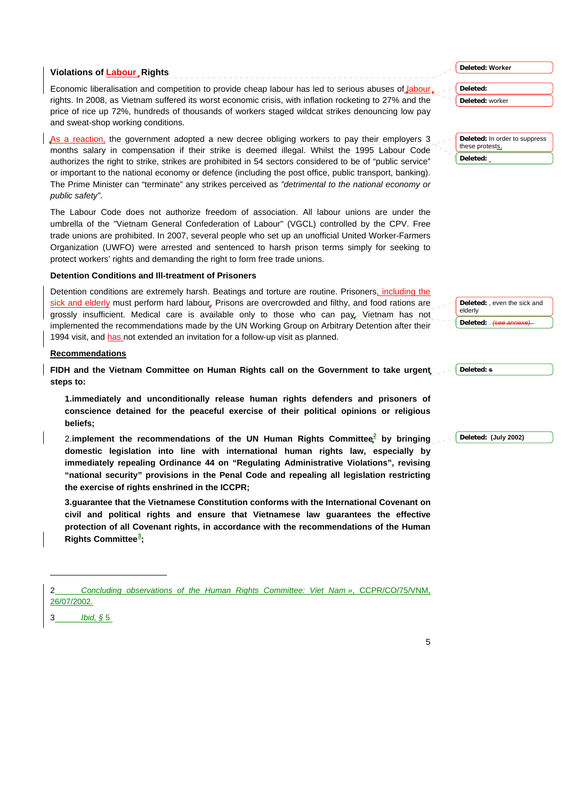# **Violations of Labour\_Rights**

Economic liberalisation and competition to provide cheap labour has led to serious abuses of *Jabour*. rights. In 2008, as Vietnam suffered its worst economic crisis, with inflation rocketing to 27% and the price of rice up 72%, hundreds of thousands of workers staged wildcat strikes denouncing low pay and sweat-shop working conditions.

As a reaction, the government adopted a new decree obliging workers to pay their employers 3 months salary in compensation if their strike is deemed illegal. Whilst the 1995 Labour Code authorizes the right to strike, strikes are prohibited in 54 sectors considered to be of "public service" or important to the national economy or defence (including the post office, public transport, banking). The Prime Minister can "terminate" any strikes perceived as *"detrimental to the national economy or public safety"*.

The Labour Code does not authorize freedom of association. All labour unions are under the umbrella of the "Vietnam General Confederation of Labour" (VGCL) controlled by the CPV. Free trade unions are prohibited. In 2007, several people who set up an unofficial United Worker-Farmers Organization (UWFO) were arrested and sentenced to harsh prison terms simply for seeking to protect workers' rights and demanding the right to form free trade unions.

# **Detention Conditions and Ill-treatment of Prisoners**

Detention conditions are extremely harsh. Beatings and torture are routine. Prisoners, including the sick and elderly must perform hard labour. Prisons are overcrowded and filthy, and food rations are grossly insufficient. Medical care is available only to those who can pay. Vietnam has not implemented the recommendations made by the UN Working Group on Arbitrary Detention after their 1994 visit, and has not extended an invitation for a follow-up visit as planned.

# **Recommendations**

**FIDH and the Vietnam Committee on Human Rights call on the Government to take urgent steps to:**

**1.immediately and unconditionally release human rights defenders and prisoners of conscience detained for the peaceful exercise of their political opinions or religious beliefs;** 

2.**implement the recommendations of the UN Human Rights Committee[2](#page-4-0) by bringing domestic legislation into line with international human rights law, especially by immediately repealing Ordinance 44 on "Regulating Administrative Violations", revising "national security" provisions in the Penal Code and repealing all legislation restricting the exercise of rights enshrined in the ICCPR;** 

**3.guarantee that the Vietnamese Constitution conforms with the International Covenant on civil and political rights and ensure that Vietnamese law guarantees the effective protection of all Covenant rights, in accordance with the recommendations of the Human Rights Committee[3](#page-4-1) ;** 

2 *Concluding observations of the Human Rights Committee: Viet Nam »*, CCPR/CO/75/VNM, 26/07/2002.

<span id="page-4-1"></span><span id="page-4-0"></span>3 *Ibid, §* 5

l

**Deleted: Worker**

**Deleted: Deleted:** worker

**Deleted:** In order to suppress these protests, **Deleted:** 

Deleted: even the sick and elderly Deleted:

**Deleted: s**

**Deleted: (July 2002)**